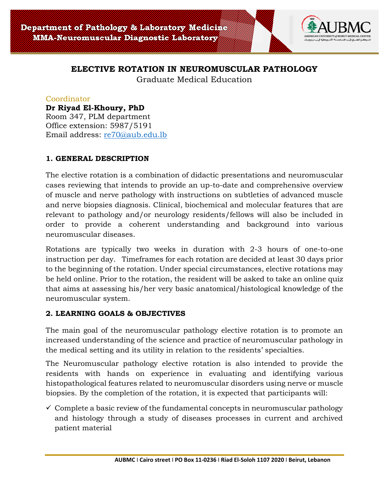

# **ELECTIVE ROTATION IN NEUROMUSCULAR PATHOLOGY**

Graduate Medical Education

#### Coordinator

# **Dr Riyad El-Khoury, PhD**

Room 347, PLM department Office extension: 5987/5191 Email address: [re70@aub.edu.lb](mailto:re70@aub.edu.lb)

## **1. GENERAL DESCRIPTION**

The elective rotation is a combination of didactic presentations and neuromuscular cases reviewing that intends to provide an up-to-date and comprehensive overview of muscle and nerve pathology with instructions on subtleties of advanced muscle and nerve biopsies diagnosis. Clinical, biochemical and molecular features that are relevant to pathology and/or neurology residents/fellows will also be included in order to provide a coherent understanding and background into various neuromuscular diseases.

Rotations are typically two weeks in duration with 2-3 hours of one-to-one instruction per day. Timeframes for each rotation are decided at least 30 days prior to the beginning of the rotation. Under special circumstances, elective rotations may be held online. Prior to the rotation, the resident will be asked to take an online quiz that aims at assessing his/her very basic anatomical/histological knowledge of the neuromuscular system.

## **2. LEARNING GOALS & OBJECTIVES**

The main goal of the neuromuscular pathology elective rotation is to promote an increased understanding of the science and practice of neuromuscular pathology in the medical setting and its utility in relation to the residents' specialties.

The Neuromuscular pathology elective rotation is also intended to provide the residents with hands on experience in evaluating and identifying various histopathological features related to neuromuscular disorders using nerve or muscle biopsies. By the completion of the rotation, it is expected that participants will:

 $\checkmark$  Complete a basic review of the fundamental concepts in neuromuscular pathology and histology through a study of diseases processes in current and archived patient material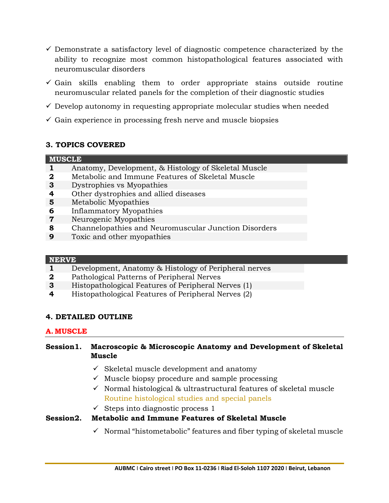- $\checkmark$  Demonstrate a satisfactory level of diagnostic competence characterized by the ability to recognize most common histopathological features associated with neuromuscular disorders
- $\checkmark$  Gain skills enabling them to order appropriate stains outside routine neuromuscular related panels for the completion of their diagnostic studies
- $\checkmark$  Develop autonomy in requesting appropriate molecular studies when needed
- $\checkmark$  Gain experience in processing fresh nerve and muscle biopsies

# **3. TOPICS COVERED**

## **MUSCLE**

- **1** Anatomy, Development, & Histology of Skeletal Muscle
- **2** Metabolic and Immune Features of Skeletal Muscle
- **3** Dystrophies vs Myopathies
- **4** Other dystrophies and allied diseases
- **5** Metabolic Myopathies
- **6** Inflammatory Myopathies
- **7** Neurogenic Myopathies
- **8** Channelopathies and Neuromuscular Junction Disorders
- **9** Toxic and other myopathies

## **NERVE**

- **1** Development, Anatomy & Histology of Peripheral nerves
- **2** Pathological Patterns of Peripheral Nerves
- **3** Histopathological Features of Peripheral Nerves (1)
- **4** Histopathological Features of Peripheral Nerves (2)

## **4. DETAILED OUTLINE**

## **A. MUSCLE**

## **Session1. Macroscopic & Microscopic Anatomy and Development of Skeletal Muscle**

- $\checkmark$  Skeletal muscle development and anatomy
- $\checkmark$  Muscle biopsy procedure and sample processing
- ✓ Normal histological & ultrastructural features of skeletal muscle Routine histological studies and special panels
- $\checkmark$  Steps into diagnostic process 1

# **Session2. Metabolic and Immune Features of Skeletal Muscle**

 $\checkmark$  Normal "histometabolic" features and fiber typing of skeletal muscle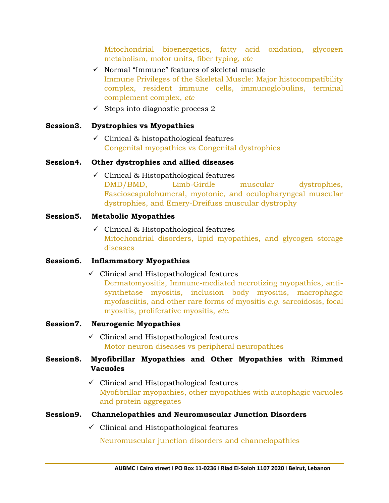Mitochondrial bioenergetics, fatty acid oxidation, glycogen metabolism, motor units, fiber typing, *etc*

- ✓ Normal "Immune" features of skeletal muscle Immune Privileges of the Skeletal Muscle: Major histocompatibility complex, resident immune cells, immunoglobulins, terminal complement complex, *etc*
- $\checkmark$  Steps into diagnostic process 2

#### **Session3. Dystrophies vs Myopathies**

 $\checkmark$  Clinical & histopathological features Congenital myopathies vs Congenital dystrophies

#### **Session4. Other dystrophies and allied diseases**

✓ Clinical & Histopathological features DMD/BMD, Limb-Girdle muscular dystrophies, Fascioscapulohumeral, myotonic, and oculopharyngeal muscular dystrophies, and Emery-Dreifuss muscular dystrophy

#### **Session5. Metabolic Myopathies**

✓ Clinical & Histopathological features Mitochondrial disorders, lipid myopathies, and glycogen storage diseases

## **Session6. Inflammatory Myopathies**

 $\checkmark$  Clinical and Histopathological features

Dermatomyositis, Immune-mediated necrotizing myopathies, antisynthetase myositis, inclusion body myositis, macrophagic myofasciitis, and other rare forms of myositis *e.g*. sarcoidosis, focal myositis, proliferative myositis, *etc*.

## **Session7. Neurogenic Myopathies**

 $\checkmark$  Clinical and Histopathological features Motor neuron diseases vs peripheral neuropathies

## **Session8. Myofibrillar Myopathies and Other Myopathies with Rimmed Vacuoles**

 $\checkmark$  Clinical and Histopathological features Myofibrillar myopathies, other myopathies with autophagic vacuoles and protein aggregates

## **Session9. Channelopathies and Neuromuscular Junction Disorders**

 $\checkmark$  Clinical and Histopathological features

Neuromuscular junction disorders and channelopathies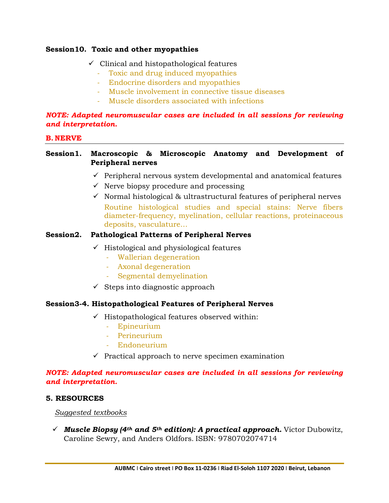#### **Session10. Toxic and other myopathies**

- $\checkmark$  Clinical and histopathological features
	- *-* Toxic and drug induced myopathies
	- *-* Endocrine disorders and myopathies
	- *-* Muscle involvement in connective tissue diseases
	- *-* Muscle disorders associated with infections

#### *NOTE: Adapted neuromuscular cases are included in all sessions for reviewing and interpretation.*

#### **B. NERVE**

## **Session1. Macroscopic & Microscopic Anatomy and Development of Peripheral nerves**

- $\checkmark$  Peripheral nervous system developmental and anatomical features
- $\checkmark$  Nerve biopsy procedure and processing
- $\checkmark$  Normal histological & ultrastructural features of peripheral nerves Routine histological studies and special stains: Nerve fibers diameter-frequency, myelination, cellular reactions, proteinaceous deposits, vasculature…

## **Session2. Pathological Patterns of Peripheral Nerves**

- ✓ Histological and physiological features
	- *-* Wallerian degeneration
	- *-* Axonal degeneration
	- *-* Segmental demyelination
- $\checkmark$  Steps into diagnostic approach

## **Session3-4. Histopathological Features of Peripheral Nerves**

- ✓ Histopathological features observed within:
	- *-* Epineurium
	- *-* Perineurium
	- *-* Endoneurium
- $\checkmark$  Practical approach to nerve specimen examination

#### *NOTE: Adapted neuromuscular cases are included in all sessions for reviewing and interpretation.*

## **5. RESOURCES**

#### *Suggested textbooks*

✓ *Muscle Biopsy (4th and 5th edition): A practical approach***.** Victor Dubowitz, Caroline Sewry, and Anders Oldfors. ISBN: 9780702074714